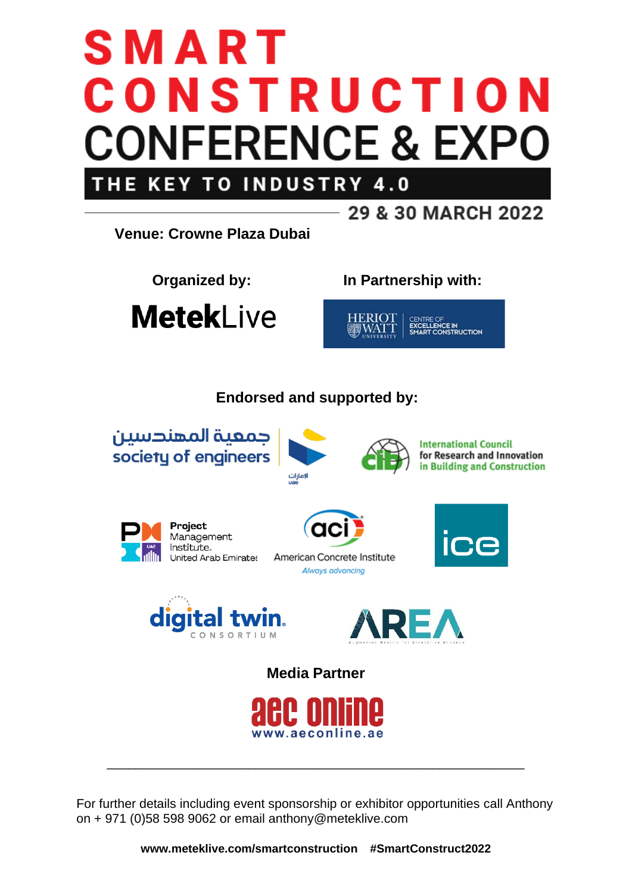# SMART CONSTRUCTION **CONFERENCE & EXPO INDUSTRY 4.0 KEY TO** THE



For further details including event sponsorship or exhibitor opportunities call Anthony on + 971 (0)58 598 9062 or email anthony@meteklive.com

**www.meteklive.com/smartconstruction #SmartConstruct2022**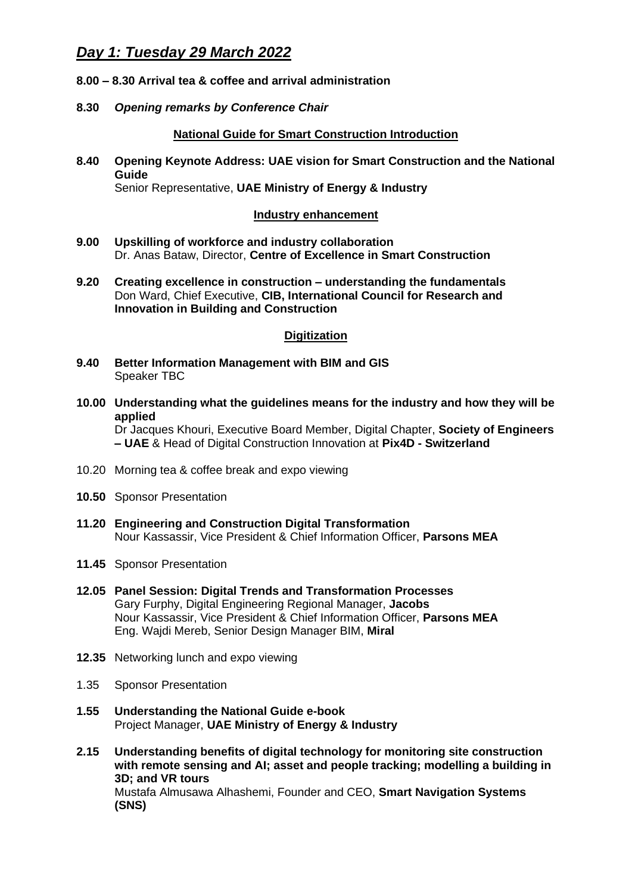## *Day 1: Tuesday 29 March 2022*

- **8.00 – 8.30 Arrival tea & coffee and arrival administration**
- **8.30** *Opening remarks by Conference Chair*

## **National Guide for Smart Construction Introduction**

**8.40 Opening Keynote Address: UAE vision for Smart Construction and the National Guide** Senior Representative, **UAE Ministry of Energy & Industry**

## **Industry enhancement**

- **9.00 Upskilling of workforce and industry collaboration** Dr. Anas Bataw, Director, **Centre of Excellence in Smart Construction**
- **9.20 Creating excellence in construction – understanding the fundamentals** Don Ward, Chief Executive, **CIB, International Council for Research and Innovation in Building and Construction**

### **Digitization**

- **9.40 Better Information Management with BIM and GIS** Speaker TBC
- **10.00 Understanding what the guidelines means for the industry and how they will be applied**

Dr Jacques Khouri, Executive Board Member, Digital Chapter, **Society of Engineers – UAE** & Head of Digital Construction Innovation at **Pix4D - Switzerland**

- 10.20 Morning tea & coffee break and expo viewing
- **10.50** Sponsor Presentation
- **11.20 Engineering and Construction Digital Transformation** Nour Kassassir, Vice President & Chief Information Officer, **Parsons MEA**
- **11.45** Sponsor Presentation
- **12.05 Panel Session: Digital Trends and Transformation Processes** Gary Furphy, Digital Engineering Regional Manager, **Jacobs** Nour Kassassir, Vice President & Chief Information Officer, **Parsons MEA** Eng. Wajdi Mereb, Senior Design Manager BIM, **Miral**
- **12.35** Networking lunch and expo viewing
- 1.35 Sponsor Presentation
- **1.55 Understanding the National Guide e-book** Project Manager, **UAE Ministry of Energy & Industry**
- **2.15 Understanding benefits of digital technology for monitoring site construction with remote sensing and AI; asset and people tracking; modelling a building in 3D; and VR tours** Mustafa Almusawa Alhashemi, Founder and CEO, **Smart Navigation Systems (SNS)**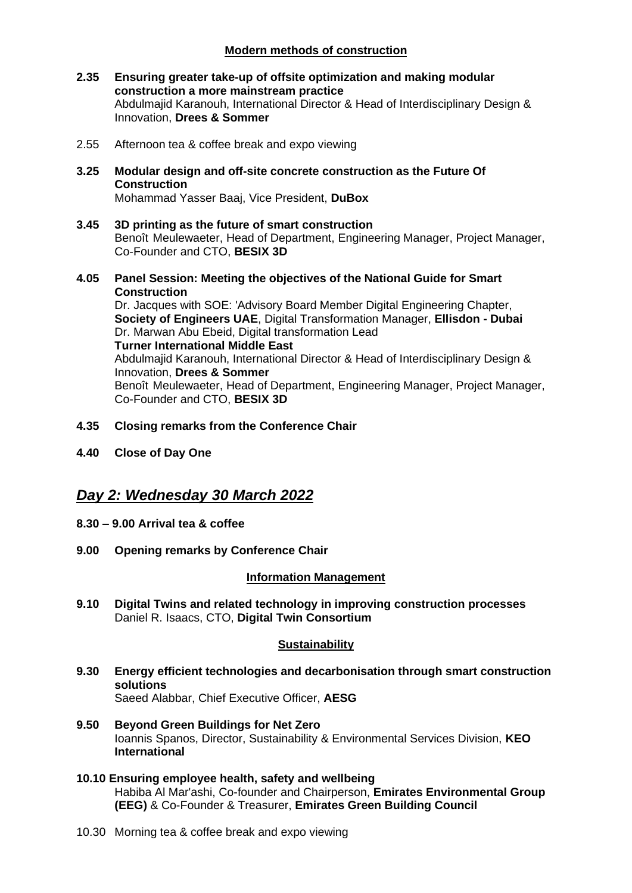## **Modern methods of construction**

- **2.35 Ensuring greater take-up of offsite optimization and making modular construction a more mainstream practice**  Abdulmajid Karanouh, International Director & Head of Interdisciplinary Design & Innovation, **Drees & Sommer**
- 2.55 Afternoon tea & coffee break and expo viewing
- **3.25 Modular design and off-site concrete construction as the Future Of Construction** Mohammad Yasser Baaj, Vice President, **DuBox**
- **3.45 3D printing as the future of smart construction** Benoît Meulewaeter, Head of Department, Engineering Manager, Project Manager, Co-Founder and CTO, **BESIX 3D**
- **4.05 Panel Session: Meeting the objectives of the National Guide for Smart Construction** Dr. Jacques with SOE: 'Advisory Board Member Digital Engineering Chapter, **Society of Engineers UAE**, Digital Transformation Manager, **Ellisdon - Dubai** Dr. Marwan Abu Ebeid, Digital transformation Lead **Turner International Middle East** Abdulmajid Karanouh, International Director & Head of Interdisciplinary Design & Innovation, **Drees & Sommer** Benoît Meulewaeter, Head of Department, Engineering Manager, Project Manager, Co-Founder and CTO, **BESIX 3D**
- **4.35 Closing remarks from the Conference Chair**
- **4.40 Close of Day One**

## *Day 2: Wednesday 30 March 2022*

- **8.30 – 9.00 Arrival tea & coffee**
- **9.00 Opening remarks by Conference Chair**

## **Information Management**

**9.10 Digital Twins and related technology in improving construction processes** Daniel R. Isaacs, CTO, **Digital Twin Consortium**

#### **Sustainability**

- **9.30 Energy efficient technologies and decarbonisation through smart construction solutions** Saeed Alabbar, Chief Executive Officer, **AESG**
- **9.50 Beyond Green Buildings for Net Zero** Ioannis Spanos, Director, Sustainability & Environmental Services Division, **KEO International**
- **10.10 Ensuring employee health, safety and wellbeing** Habiba Al Mar'ashi, Co-founder and Chairperson, **Emirates Environmental Group (EEG)** & Co-Founder & Treasurer, **Emirates Green Building Council**
- 10.30 Morning tea & coffee break and expo viewing